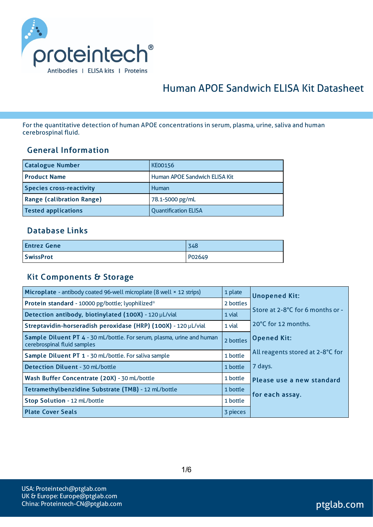

# Human APOE Sandwich ELISA Kit Datasheet

For the quantitative detection of human APOE concentrations in serum, plasma, urine, saliva and human cerebrospinal fluid.

#### General Information

| <b>Catalogue Number</b>          | <b>KE00156</b>                |
|----------------------------------|-------------------------------|
| <b>Product Name</b>              | Human APOE Sandwich ELISA Kit |
| <b>Species cross-reactivity</b>  | Human                         |
| <b>Range (calibration Range)</b> | 78.1-5000 pg/mL               |
| <b>Tested applications</b>       | <b>Quantification ELISA</b>   |

#### Database Links

| <b>Entrez Gene</b> | 348    |
|--------------------|--------|
| <b>SwissProt</b>   | P02649 |

#### Kit Components & Storage

| Microplate - antibody coated 96-well microplate (8 well × 12 strips)                                  | 1 plate   | <b>Unopened Kit:</b>             |
|-------------------------------------------------------------------------------------------------------|-----------|----------------------------------|
| Protein standard - 10000 pg/bottle; lyophilized*                                                      | 2 bottles |                                  |
| Detection antibody, biotinylated (100X) - 120 µL/vial                                                 | 1 vial    | Store at 2-8°C for 6 months or - |
| Streptavidin-horseradish peroxidase (HRP) (100X) - 120 µL/vial                                        | 1 vial    | 20°C for 12 months.              |
| Sample Diluent PT 4 - 30 mL/bottle. For serum, plasma, urine and human<br>cerebrospinal fluid samples | 2 bottles | <b>Opened Kit:</b>               |
| Sample Diluent PT 1 - 30 mL/bottle. For saliva sample                                                 | 1 bottle  | All reagents stored at 2-8°C for |
| <b>Detection Diluent - 30 mL/bottle</b>                                                               | 1 bottle  | 7 days.                          |
| Wash Buffer Concentrate (20X) - 30 mL/bottle                                                          | 1 bottle  | Please use a new standard        |
| Tetramethylbenzidine Substrate (TMB) - 12 mL/bottle                                                   | 1 bottle  | for each assay.                  |
| Stop Solution - 12 mL/bottle                                                                          | 1 bottle  |                                  |
| <b>Plate Cover Seals</b>                                                                              | 3 pieces  |                                  |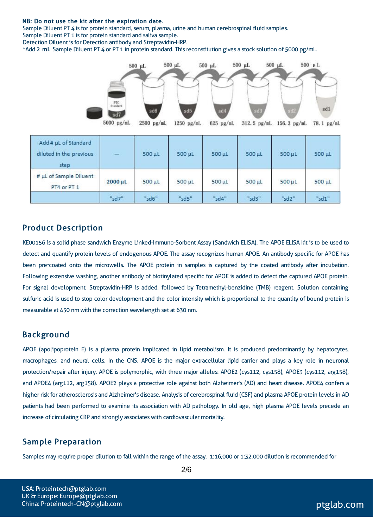#### NB: Do not use the kit after the expiration date.

Sample Diluent PT 4 is for protein standard, serum, plasma, urine and human cerebrospinal fluid samples. Sample Diluent PT 1 is for protein standard and saliva sample.

Detection Diluent is for Detection antibody and Streptavidin-HRP.

\*Add 2 mL Sample Diluent PT 4 or PT 1 in protein standard. Thisreconstitution gives a stock solution of 5000 pg/mL.



#### Product Description

KE00156 is a solid phase sandwich Enzyme Linked-Immuno-Sorbent Assay (Sandwich ELISA). The APOE ELISA kit is to be used to detect and quantify protein levels of endogenous APOE. The assay recognizes human APOE. An antibody specific for APOE has been pre-coated onto the microwells. The APOE protein in samples is captured by the coated antibody after incubation. Following extensive washing, another antibody of biotinylated specific for APOE is added to detect the captured APOE protein. For signal development, Streptavidin-HRP is added, followed by Tetramethyl-benzidine (TMB) reagent. Solution containing sulfuric acid is used to stop color development and the color intensity which is proportional to the quantity of bound protein is measurable at 450 nm with the correction wavelength set at 630 nm.

#### Background

APOE (apolipoprotein E) is a plasma protein implicated in lipid metabolism. It is produced predominantly by hepatocytes, macrophages, and neural cells. In the CNS, APOE is the major extracellular lipid carrier and plays a key role in neuronal protection/repair after injury. APOE is polymorphic, with three major alleles: APOE2 (cys112, cys158), APOE3 (cys112, arg158), and APOE4 (arg112, arg158). APOE2 plays a protective role against both Alzheimer's (AD) and heart disease. APOE4 confers a higher risk for atherosclerosis and Alzheimer's disease. Analysis of cerebrospinal fluid (CSF) and plasma APOE protein levelsin AD patients had been performed to examine its association with AD pathology. In old age, high plasma APOE levels precede an increase of circulating CRP and strongly associates with cardiovascular mortality.

#### Sample Preparation

Samples may require proper dilution to fall within the range of the assay. 1:16,000 or 1:32,000 dilution isrecommended for

USA: Proteintech@ptglab.com UK & Europe: Europe@ptglab.com China: Proteintech-CN@ptglab.com and ptglab.com ptglab.com ptglab.com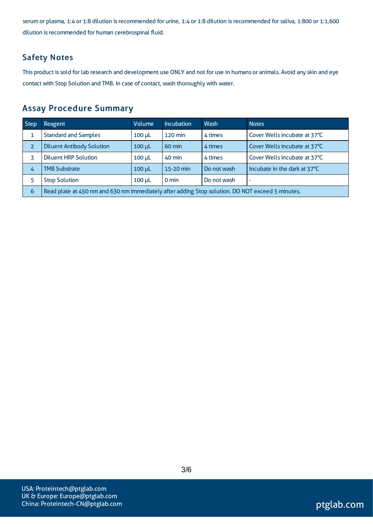serum or plasma, 1:4 or 1:8 dilution is recommended for urine, 1:4 or 1:8 dilution is recommended for saliva, 1:800 or 1:1,600 dilution is recommended for human cerebrospinal fluid.

### Safety Notes

This product is sold for lab research and development use ONLY and not for use in humans or animals. Avoid any skin and eye contact with Stop Solution and TMB. In case of contact, wash thoroughly with water.

### Assay Procedure Summary

| Step           | <b>Reagent</b>                                                                                   | Volume        | <b>Incubation</b> | Wash        | <b>Notes</b>                 |  |
|----------------|--------------------------------------------------------------------------------------------------|---------------|-------------------|-------------|------------------------------|--|
| 1              | <b>Standard and Samples</b>                                                                      | $100$ $\mu$ L | 120 min           | 4 times     | Cover Wells incubate at 37°C |  |
| $\overline{2}$ | <b>Diluent Antibody Solution</b>                                                                 | $100$ $\mu$   | $60 \text{ min}$  | 4 times     | Cover Wells incubate at 37°C |  |
|                | <b>Diluent HRP Solution</b>                                                                      | $100 \mu L$   | 40 min            | 4 times     | Cover Wells incubate at 37°C |  |
| 4              | <b>TMB Substrate</b>                                                                             | $100$ $\mu$   | 15-20 min         | Do not wash | Incubate in the dark at 37°C |  |
|                | <b>Stop Solution</b>                                                                             | $100$ $\mu$   | 0 min             | Do not wash | ۰                            |  |
| 6              | Read plate at 450 nm and 630 nm immediately after adding Stop solution. DO NOT exceed 5 minutes. |               |                   |             |                              |  |

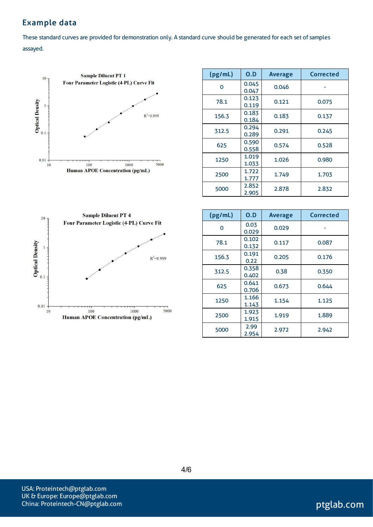# Example data

These standard curves are provided for demonstration only. A standard curve should be generated for each set of samples assayed.



| (pg/mL) | 0.D            | <b>Average</b> | <b>Corrected</b> |
|---------|----------------|----------------|------------------|
| Ω       | 0.045<br>0.047 | 0.046          |                  |
| 78.1    | 0.123<br>0.119 | 0.121          | 0.075            |
| 156.3   | 0.183<br>0.184 | 0.183          | 0.137            |
| 312.5   | 0.294<br>0.289 | 0.291          | 0.245            |
| 625     | 0.590<br>0.558 | 0.574          | 0.528            |
| 1250    | 1.019<br>1.033 | 1.026          | 0.980            |
| 2500    | 1.722<br>1.777 | 1.749          | 1.703            |
| 5000    | 2.852<br>2.905 | 2.878          | 2.832            |



| (pg/mL) | O.D            | <b>Average</b> | Corrected |
|---------|----------------|----------------|-----------|
| O       | 0.03<br>0.029  | 0.029          |           |
| 78.1    | 0.102<br>0.132 | 0.117          | 0.087     |
| 156.3   | 0.191<br>0.22  | 0.205          | 0.176     |
| 312.5   | 0.358<br>0.402 | 0.38           | 0.350     |
| 625     | 0.641<br>0.706 | 0.673          | 0.644     |
| 1250    | 1.166<br>1.143 | 1.154          | 1.125     |
| 2500    | 1.923<br>1.915 | 1.919          | 1.889     |
| 5000    | 2.99<br>2.954  | 2.972          | 2.942     |

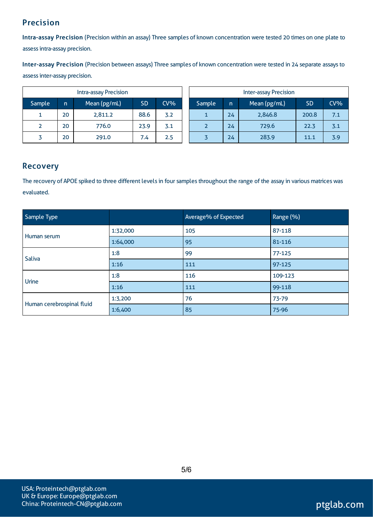# Precision

Intra-assay Precision (Precision within an assay) Three samples of known concentration were tested 20 times on one plate to assessintra-assay precision.

Inter-assay Precision (Precision between assays) Three samples of known concentration were tested in 24 separate assaysto assessinter-assay precision.

|        | <b>Intra-assay Precision</b> |              |           | <b>Inter-assay Precision</b> |  |        |              |              |           |        |
|--------|------------------------------|--------------|-----------|------------------------------|--|--------|--------------|--------------|-----------|--------|
| Sample | n                            | Mean (pg/mL) | <b>SD</b> | $CV\%$                       |  | Sample | $\mathsf{n}$ | Mean (pg/mL) | <b>SD</b> | $CV\%$ |
|        | 20                           | 2,811.2      | 88.6      | 3.2                          |  |        | 24           | 2,846.8      | 200.8     | 7.1    |
|        | 20                           | 776.0        | 23.9      | 3.1                          |  |        | 24           | 729.6        | 22.3      | 3.1    |
|        | 20                           | 291.0        | 7.4       | 2.5                          |  |        | 24           | 283.9        | 11.1      | 3.9    |

#### Recovery

The recovery of APOE spiked to three different levels in four samples throughout the range of the assay in various matrices was evaluated.

| Sample Type               |          | Average% of Expected | Range (%)  |
|---------------------------|----------|----------------------|------------|
| Human serum               | 1:32,000 | 105                  | 87-118     |
|                           | 1:64,000 | 95                   | 81-116     |
| Saliva                    | 1:8      | -99                  | $77 - 125$ |
|                           | 1:16     | 111                  | 97-125     |
| Urine                     | 1:8      | 116                  | 109-123    |
|                           | 1:16     | 111                  | 99-118     |
|                           | 1:3,200  | 76                   | 73-79      |
| Human cerebrospinal fluid | 1:6,400  | 85                   | 75-96      |